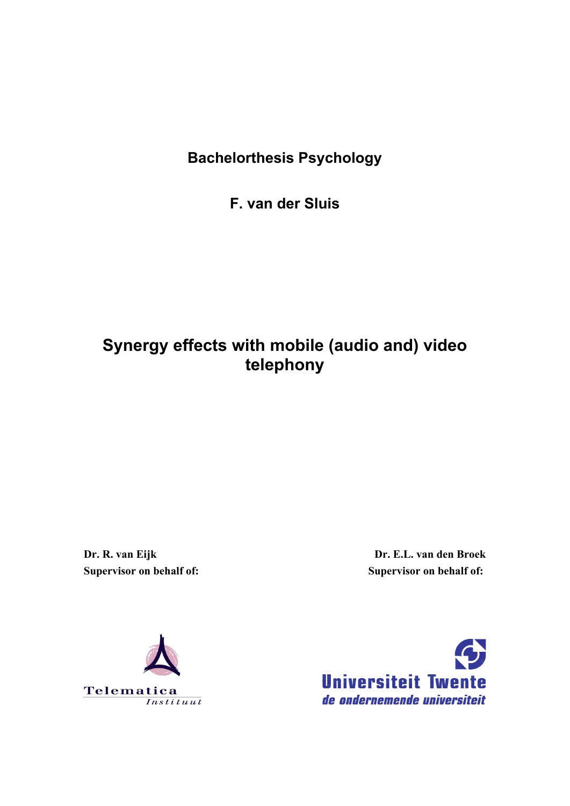# **Bachelorthesis Psychology**

**F. van der Sluis** 

# **Synergy effects with mobile (audio and) video telephony**

**Dr. R. van Eijk Supervisor on behalf of:** 

**Dr. E.L. van den Broek Supervisor on behalf of:** 



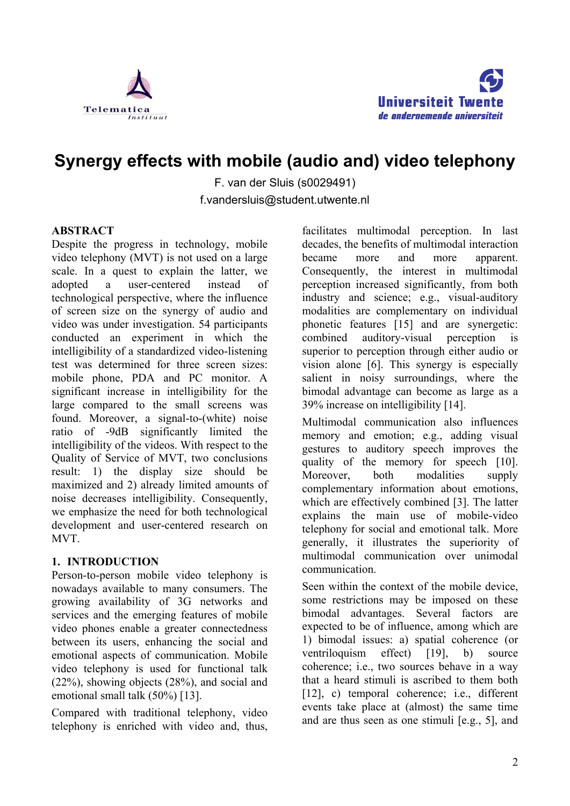



# **Synergy effects with mobile (audio and) video telephony**

F. van der Sluis (s0029491) f.vandersluis@student.utwente.nl

#### **ABSTRACT**

Despite the progress in technology, mobile video telephony (MVT) is not used on a large scale. In a quest to explain the latter, we adopted a user-centered instead of technological perspective, where the influence of screen size on the synergy of audio and video was under investigation. 54 participants conducted an experiment in which the intelligibility of a standardized video-listening test was determined for three screen sizes: mobile phone, PDA and PC monitor. A significant increase in intelligibility for the large compared to the small screens was found. Moreover, a signal-to-(white) noise ratio of -9dB significantly limited the intelligibility of the videos. With respect to the Quality of Service of MVT, two conclusions result: 1) the display size should be maximized and 2) already limited amounts of noise decreases intelligibility. Consequently, we emphasize the need for both technological development and user-centered research on MVT.

#### **1. INTRODUCTION**

Person-to-person mobile video telephony is nowadays available to many consumers. The growing availability of 3G networks and services and the emerging features of mobile video phones enable a greater connectedness between its users, enhancing the social and emotional aspects of communication. Mobile video telephony is used for functional talk (22%), showing objects (28%), and social and emotional small talk (50%) [13].

Compared with traditional telephony, video telephony is enriched with video and, thus, facilitates multimodal perception. In last decades, the benefits of multimodal interaction became more and more apparent. Consequently, the interest in multimodal perception increased significantly, from both industry and science; e.g., visual-auditory modalities are complementary on individual phonetic features [15] and are synergetic: combined auditory-visual perception is superior to perception through either audio or vision alone [6]. This synergy is especially salient in noisy surroundings, where the bimodal advantage can become as large as a 39% increase on intelligibility [14].

Multimodal communication also influences memory and emotion; e.g., adding visual gestures to auditory speech improves the quality of the memory for speech [10]. Moreover, both modalities supply complementary information about emotions, which are effectively combined [3]. The latter explains the main use of mobile-video telephony for social and emotional talk. More generally, it illustrates the superiority of multimodal communication over unimodal communication.

Seen within the context of the mobile device, some restrictions may be imposed on these bimodal advantages. Several factors are expected to be of influence, among which are 1) bimodal issues: a) spatial coherence (or ventriloquism effect) [19], b) source coherence; i.e., two sources behave in a way that a heard stimuli is ascribed to them both [12], c) temporal coherence; i.e., different events take place at (almost) the same time and are thus seen as one stimuli [e.g., 5], and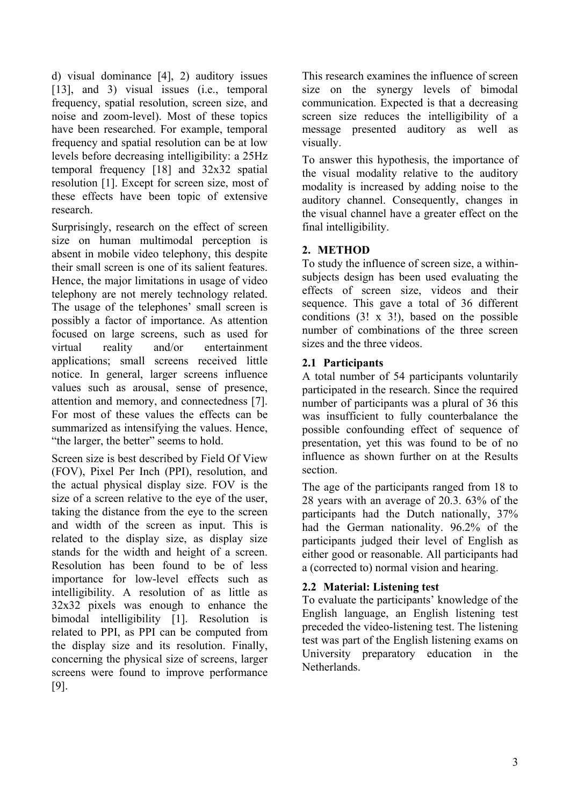d) visual dominance [4], 2) auditory issues [13], and 3) visual issues (i.e., temporal frequency, spatial resolution, screen size, and noise and zoom-level). Most of these topics have been researched. For example, temporal frequency and spatial resolution can be at low levels before decreasing intelligibility: a 25Hz temporal frequency [18] and 32x32 spatial resolution [1]. Except for screen size, most of these effects have been topic of extensive research.

Surprisingly, research on the effect of screen size on human multimodal perception is absent in mobile video telephony, this despite their small screen is one of its salient features. Hence, the major limitations in usage of video telephony are not merely technology related. The usage of the telephones' small screen is possibly a factor of importance. As attention focused on large screens, such as used for virtual reality and/or entertainment applications; small screens received little notice. In general, larger screens influence values such as arousal, sense of presence, attention and memory, and connectedness [7]. For most of these values the effects can be summarized as intensifying the values. Hence, "the larger, the better" seems to hold.

Screen size is best described by Field Of View (FOV), Pixel Per Inch (PPI), resolution, and the actual physical display size. FOV is the size of a screen relative to the eye of the user, taking the distance from the eye to the screen and width of the screen as input. This is related to the display size, as display size stands for the width and height of a screen. Resolution has been found to be of less importance for low-level effects such as intelligibility. A resolution of as little as 32x32 pixels was enough to enhance the bimodal intelligibility [1]. Resolution is related to PPI, as PPI can be computed from the display size and its resolution. Finally, concerning the physical size of screens, larger screens were found to improve performance [9].

This research examines the influence of screen size on the synergy levels of bimodal communication. Expected is that a decreasing screen size reduces the intelligibility of a message presented auditory as well as visually.

To answer this hypothesis, the importance of the visual modality relative to the auditory modality is increased by adding noise to the auditory channel. Consequently, changes in the visual channel have a greater effect on the final intelligibility.

# **2. METHOD**

To study the influence of screen size, a withinsubjects design has been used evaluating the effects of screen size, videos and their sequence. This gave a total of 36 different conditions (3! x 3!), based on the possible number of combinations of the three screen sizes and the three videos.

# **2.1 Participants**

A total number of 54 participants voluntarily participated in the research. Since the required number of participants was a plural of 36 this was insufficient to fully counterbalance the possible confounding effect of sequence of presentation, yet this was found to be of no influence as shown further on at the Results section.

The age of the participants ranged from 18 to 28 years with an average of 20.3. 63% of the participants had the Dutch nationally, 37% had the German nationality. 96.2% of the participants judged their level of English as either good or reasonable. All participants had a (corrected to) normal vision and hearing.

#### **2.2 Material: Listening test**

To evaluate the participants' knowledge of the English language, an English listening test preceded the video-listening test. The listening test was part of the English listening exams on University preparatory education in the **Netherlands**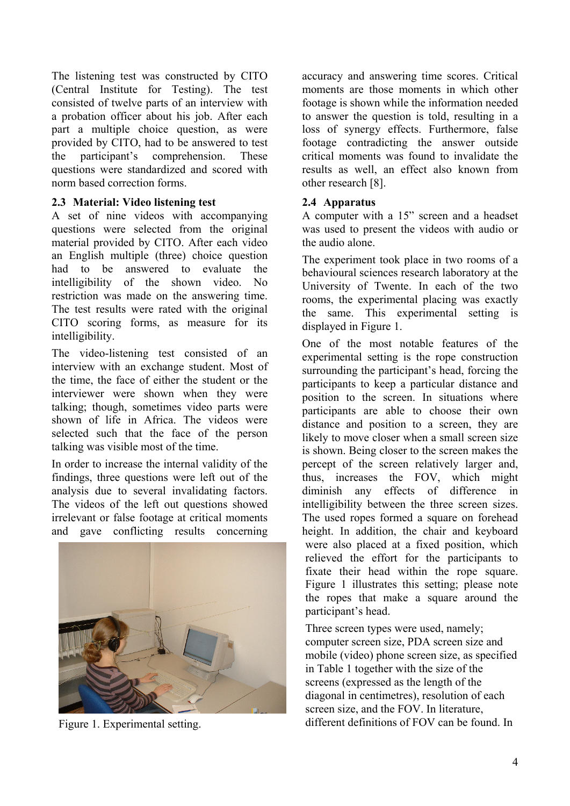The listening test was constructed by CITO (Central Institute for Testing). The test consisted of twelve parts of an interview with a probation officer about his job. After each part a multiple choice question, as were provided by CITO, had to be answered to test the participant's comprehension. These questions were standardized and scored with norm based correction forms.

#### **2.3 Material: Video listening test**

A set of nine videos with accompanying questions were selected from the original material provided by CITO. After each video an English multiple (three) choice question had to be answered to evaluate the intelligibility of the shown video. No restriction was made on the answering time. The test results were rated with the original CITO scoring forms, as measure for its intelligibility.

The video-listening test consisted of an interview with an exchange student. Most of the time, the face of either the student or the interviewer were shown when they were talking; though, sometimes video parts were shown of life in Africa. The videos were selected such that the face of the person talking was visible most of the time.

In order to increase the internal validity of the findings, three questions were left out of the analysis due to several invalidating factors. The videos of the left out questions showed irrelevant or false footage at critical moments and gave conflicting results concerning



accuracy and answering time scores. Critical moments are those moments in which other footage is shown while the information needed to answer the question is told, resulting in a loss of synergy effects. Furthermore, false footage contradicting the answer outside critical moments was found to invalidate the results as well, an effect also known from other research [8].

# **2.4 Apparatus**

A computer with a 15" screen and a headset was used to present the videos with audio or the audio alone.

The experiment took place in two rooms of a behavioural sciences research laboratory at the University of Twente. In each of the two rooms, the experimental placing was exactly the same. This experimental setting is displayed in Figure 1.

One of the most notable features of the experimental setting is the rope construction surrounding the participant's head, forcing the participants to keep a particular distance and position to the screen. In situations where participants are able to choose their own distance and position to a screen, they are likely to move closer when a small screen size is shown. Being closer to the screen makes the percept of the screen relatively larger and, thus, increases the FOV, which might diminish any effects of difference in intelligibility between the three screen sizes. The used ropes formed a square on forehead height. In addition, the chair and keyboard were also placed at a fixed position, which relieved the effort for the participants to fixate their head within the rope square. Figure 1 illustrates this setting; please note the ropes that make a square around the participant's head.

Three screen types were used, namely; computer screen size, PDA screen size and mobile (video) phone screen size, as specified in Table 1 together with the size of the screens (expressed as the length of the diagonal in centimetres), resolution of each screen size, and the FOV. In literature, Figure 1. Experimental setting. different definitions of FOV can be found. In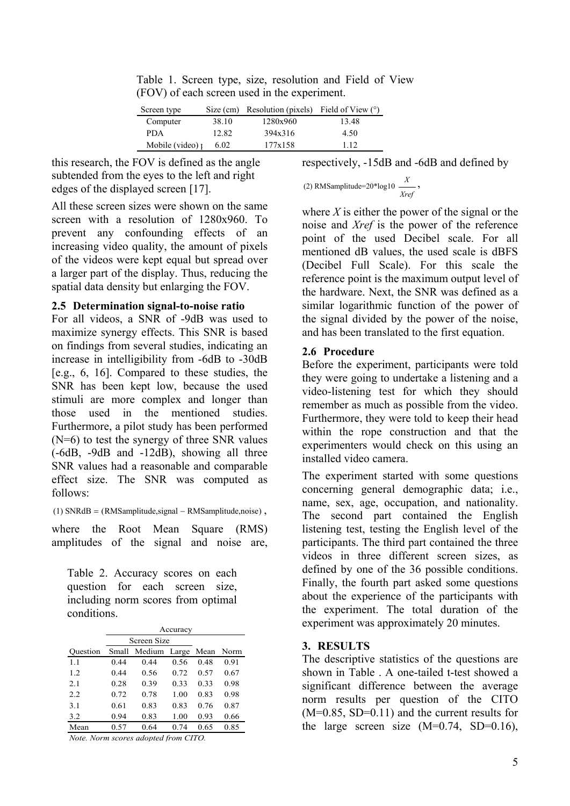Table 1. Screen type, size, resolution and Field of View (FOV) of each screen used in the experiment.

| Screen type            |       | Size (cm) Resolution (pixels) | Field of View $(°)$ |
|------------------------|-------|-------------------------------|---------------------|
| Computer               | 38.10 | 1280x960                      | 13.48               |
| <b>PDA</b>             | 12.82 | 394x316                       | 4.50                |
| Mobile (video) $\iota$ | 6.02  | 177x158                       | 1 1 2               |

this research, the FOV is defined as the angle subtended from the eyes to the left and right edges of the displayed screen [17].

All these screen sizes were shown on the same screen with a resolution of 1280x960. To prevent any confounding effects of an increasing video quality, the amount of pixels of the videos were kept equal but spread over a larger part of the display. Thus, reducing the spatial data density but enlarging the FOV.

#### **2.5 Determination signal-to-noise ratio**

For all videos, a SNR of -9dB was used to maximize synergy effects. This SNR is based on findings from several studies, indicating an increase in intelligibility from -6dB to -30dB [e.g., 6, 16]. Compared to these studies, the SNR has been kept low, because the used stimuli are more complex and longer than those used in the mentioned studies. Furthermore, a pilot study has been performed (N=6) to test the synergy of three SNR values (-6dB, -9dB and -12dB), showing all three SNR values had a reasonable and comparable effect size. The SNR was computed as follows:

(1)  $SNRdB = (RMSamplitude, signal - RMSamplitude, noise)$ .

where the Root Mean Square (RMS) amplitudes of the signal and noise are,

Table 2. Accuracy scores on each question for each screen size, including norm scores from optimal conditions.

|          | Accuracy    |        |       |      |      |
|----------|-------------|--------|-------|------|------|
|          | Screen Size |        |       |      |      |
| Ouestion | Small       | Medium | Large | Mean | Norm |
| 1.1      | 0.44        | 0.44   | 0.56  | 0.48 | 0.91 |
| 12       | 0.44        | 0.56   | 0.72  | 0.57 | 0.67 |
| 2.1      | 0.28        | 0.39   | 0.33  | 0.33 | 0.98 |
| 2.2      | 0.72        | 0.78   | 1.00  | 0.83 | 0.98 |
| 3.1      | 0.61        | 0.83   | 0.83  | 0.76 | 0.87 |
| 3.2      | 0.94        | 0.83   | 1.00  | 0.93 | 0.66 |
| Mean     | 0.57        | 0.64   | 0.74  | 0.65 | 0.85 |
|          |             |        |       |      |      |

*Note. Norm scores adopted from CITO.*

respectively, -15dB and -6dB and defined by

(2) RMSamplitude=20<sup>\*</sup>log10 
$$
\frac{X}{Xref}
$$
,

where  $X$  is either the power of the signal or the noise and *Xref* is the power of the reference point of the used Decibel scale. For all mentioned dB values, the used scale is dBFS (Decibel Full Scale). For this scale the reference point is the maximum output level of the hardware. Next, the SNR was defined as a similar logarithmic function of the power of the signal divided by the power of the noise, and has been translated to the first equation.

#### **2.6 Procedure**

Before the experiment, participants were told they were going to undertake a listening and a video-listening test for which they should remember as much as possible from the video. Furthermore, they were told to keep their head within the rope construction and that the experimenters would check on this using an installed video camera.

The experiment started with some questions concerning general demographic data; i.e., name, sex, age, occupation, and nationality. The second part contained the English listening test, testing the English level of the participants. The third part contained the three videos in three different screen sizes, as defined by one of the 36 possible conditions. Finally, the fourth part asked some questions about the experience of the participants with the experiment. The total duration of the experiment was approximately 20 minutes.

#### **3. RESULTS**

The descriptive statistics of the questions are shown in Table . A one-tailed t-test showed a significant difference between the average norm results per question of the CITO  $(M=0.85, SD=0.11)$  and the current results for the large screen size  $(M=0.74, SD=0.16)$ ,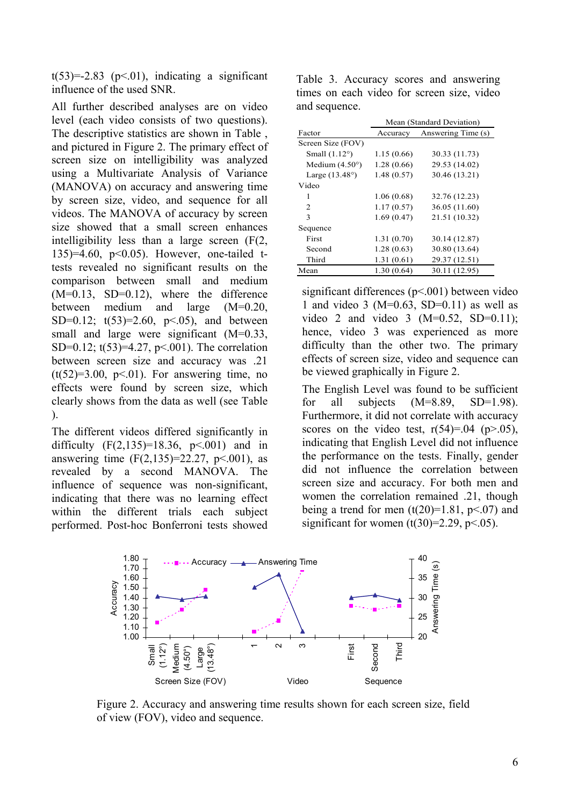$t(53)=2.83$  (p<.01), indicating a significant influence of the used SNR.

All further described analyses are on video level (each video consists of two questions). The descriptive statistics are shown in Table , and pictured in Figure 2. The primary effect of screen size on intelligibility was analyzed using a Multivariate Analysis of Variance (MANOVA) on accuracy and answering time by screen size, video, and sequence for all videos. The MANOVA of accuracy by screen size showed that a small screen enhances intelligibility less than a large screen (F(2, 135)=4.60, p<0.05). However, one-tailed ttests revealed no significant results on the comparison between small and medium  $(M=0.13, SD=0.12)$ , where the difference between medium and large (M=0.20, SD=0.12;  $t(53)=2.60$ ,  $p<0.05$ ), and between small and large were significant (M=0.33, SD=0.12; t(53)=4.27, p<.001). The correlation between screen size and accuracy was .21  $(t(52)=3.00, p<0.1)$ . For answering time, no effects were found by screen size, which clearly shows from the data as well (see Table ).

The different videos differed significantly in difficulty  $(F(2, 135)=18.36, p<0.001)$  and in answering time  $(F(2, 135)=22.27, p<0.01)$ , as revealed by a second MANOVA. The influence of sequence was non-significant, indicating that there was no learning effect within the different trials each subject performed. Post-hoc Bonferroni tests showed

Table 3. Accuracy scores and answering times on each video for screen size, video and sequence.

|                         | Mean (Standard Deviation) |                    |  |
|-------------------------|---------------------------|--------------------|--|
| Factor                  | Accuracy                  | Answering Time (s) |  |
| Screen Size (FOV)       |                           |                    |  |
| Small $(1.12^{\circ})$  | 1.15(0.66)                | 30.33 (11.73)      |  |
| Medium $(4.50^{\circ})$ | 1.28(0.66)                | 29.53 (14.02)      |  |
| Large $(13.48^{\circ})$ | 1.48(0.57)                | 30.46 (13.21)      |  |
| Video                   |                           |                    |  |
| 1                       | 1.06(0.68)                | 32.76 (12.23)      |  |
| 2                       | 1.17(0.57)                | 36.05 (11.60)      |  |
| 3                       | 1.69(0.47)                | 21.51 (10.32)      |  |
| Sequence                |                           |                    |  |
| First                   | 1.31(0.70)                | 30.14 (12.87)      |  |
| Second                  | 1.28(0.63)                | 30.80 (13.64)      |  |
| Third                   | 1.31(0.61)                | 29.37 (12.51)      |  |
| Mean                    | 1.30(0.64)                | 30.11 (12.95)      |  |

significant differences (p<.001) between video 1 and video 3 ( $M=0.63$ , SD=0.11) as well as video 2 and video 3  $(M=0.52, SD=0.11)$ ; hence, video 3 was experienced as more difficulty than the other two. The primary effects of screen size, video and sequence can be viewed graphically in Figure 2.

The English Level was found to be sufficient for all subjects  $(M=8.89, SD=1.98)$ . Furthermore, it did not correlate with accuracy scores on the video test,  $r(54)=0.04$  (p $>0.05$ ), indicating that English Level did not influence the performance on the tests. Finally, gender did not influence the correlation between screen size and accuracy. For both men and women the correlation remained .21, though being a trend for men  $(t(20)=1.81, p<0.07)$  and significant for women  $(t(30)=2.29, p<.05)$ .



Figure 2. Accuracy and answering time results shown for each screen size, field of view (FOV), video and sequence.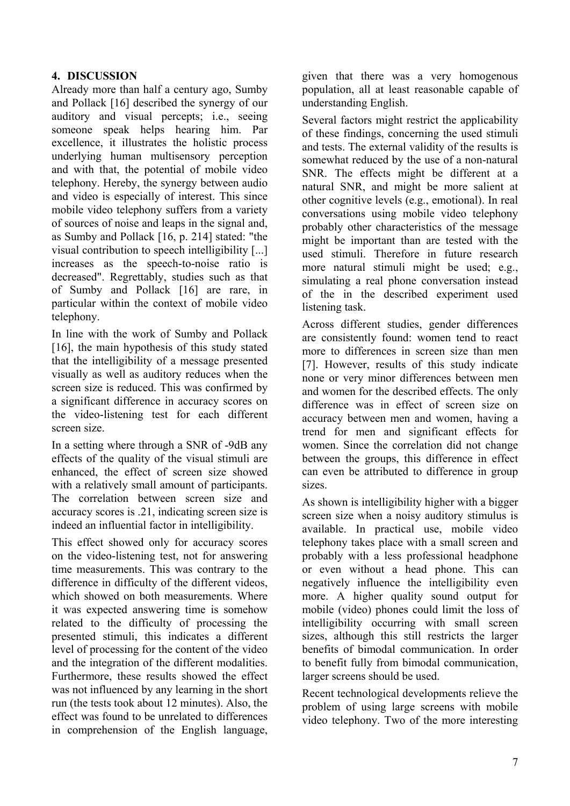# **4. DISCUSSION**

Already more than half a century ago, Sumby and Pollack [16] described the synergy of our auditory and visual percepts; i.e., seeing someone speak helps hearing him. Par excellence, it illustrates the holistic process underlying human multisensory perception and with that, the potential of mobile video telephony. Hereby, the synergy between audio and video is especially of interest. This since mobile video telephony suffers from a variety of sources of noise and leaps in the signal and, as Sumby and Pollack [16, p. 214] stated: "the visual contribution to speech intelligibility [...] increases as the speech-to-noise ratio is decreased". Regrettably, studies such as that of Sumby and Pollack [16] are rare, in particular within the context of mobile video telephony.

In line with the work of Sumby and Pollack [16], the main hypothesis of this study stated that the intelligibility of a message presented visually as well as auditory reduces when the screen size is reduced. This was confirmed by a significant difference in accuracy scores on the video-listening test for each different screen size.

In a setting where through a SNR of -9dB any effects of the quality of the visual stimuli are enhanced, the effect of screen size showed with a relatively small amount of participants. The correlation between screen size and accuracy scores is .21, indicating screen size is indeed an influential factor in intelligibility.

This effect showed only for accuracy scores on the video-listening test, not for answering time measurements. This was contrary to the difference in difficulty of the different videos, which showed on both measurements. Where it was expected answering time is somehow related to the difficulty of processing the presented stimuli, this indicates a different level of processing for the content of the video and the integration of the different modalities. Furthermore, these results showed the effect was not influenced by any learning in the short run (the tests took about 12 minutes). Also, the effect was found to be unrelated to differences in comprehension of the English language, given that there was a very homogenous population, all at least reasonable capable of understanding English.

Several factors might restrict the applicability of these findings, concerning the used stimuli and tests. The external validity of the results is somewhat reduced by the use of a non-natural SNR. The effects might be different at a natural SNR, and might be more salient at other cognitive levels (e.g., emotional). In real conversations using mobile video telephony probably other characteristics of the message might be important than are tested with the used stimuli. Therefore in future research more natural stimuli might be used; e.g., simulating a real phone conversation instead of the in the described experiment used listening task.

Across different studies, gender differences are consistently found: women tend to react more to differences in screen size than men [7]. However, results of this study indicate none or very minor differences between men and women for the described effects. The only difference was in effect of screen size on accuracy between men and women, having a trend for men and significant effects for women. Since the correlation did not change between the groups, this difference in effect can even be attributed to difference in group sizes.

As shown is intelligibility higher with a bigger screen size when a noisy auditory stimulus is available. In practical use, mobile video telephony takes place with a small screen and probably with a less professional headphone or even without a head phone. This can negatively influence the intelligibility even more. A higher quality sound output for mobile (video) phones could limit the loss of intelligibility occurring with small screen sizes, although this still restricts the larger benefits of bimodal communication. In order to benefit fully from bimodal communication, larger screens should be used.

Recent technological developments relieve the problem of using large screens with mobile video telephony. Two of the more interesting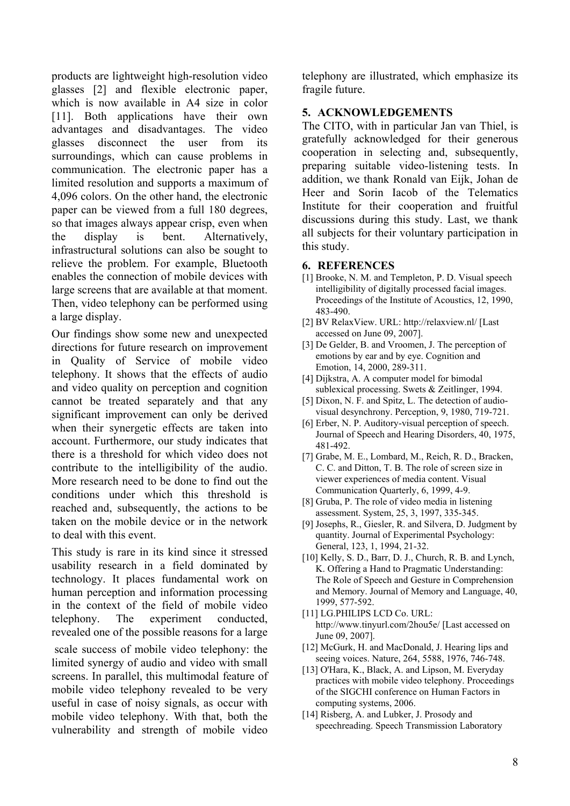products are lightweight high-resolution video glasses [2] and flexible electronic paper, which is now available in A4 size in color [11]. Both applications have their own advantages and disadvantages. The video glasses disconnect the user from its surroundings, which can cause problems in communication. The electronic paper has a limited resolution and supports a maximum of 4,096 colors. On the other hand, the electronic paper can be viewed from a full 180 degrees, so that images always appear crisp, even when the display is bent. Alternatively, infrastructural solutions can also be sought to relieve the problem. For example, Bluetooth enables the connection of mobile devices with large screens that are available at that moment. Then, video telephony can be performed using a large display.

Our findings show some new and unexpected directions for future research on improvement in Quality of Service of mobile video telephony. It shows that the effects of audio and video quality on perception and cognition cannot be treated separately and that any significant improvement can only be derived when their synergetic effects are taken into account. Furthermore, our study indicates that there is a threshold for which video does not contribute to the intelligibility of the audio. More research need to be done to find out the conditions under which this threshold is reached and, subsequently, the actions to be taken on the mobile device or in the network to deal with this event.

This study is rare in its kind since it stressed usability research in a field dominated by technology. It places fundamental work on human perception and information processing in the context of the field of mobile video telephony. The experiment conducted, revealed one of the possible reasons for a large scale success of mobile video telephony: the limited synergy of audio and video with small screens. In parallel, this multimodal feature of mobile video telephony revealed to be very useful in case of noisy signals, as occur with mobile video telephony. With that, both the vulnerability and strength of mobile video telephony are illustrated, which emphasize its fragile future.

#### **5. ACKNOWLEDGEMENTS**

The CITO, with in particular Jan van Thiel, is gratefully acknowledged for their generous cooperation in selecting and, subsequently, preparing suitable video-listening tests. In addition, we thank Ronald van Eijk, Johan de Heer and Sorin Iacob of the Telematics Institute for their cooperation and fruitful discussions during this study. Last, we thank all subjects for their voluntary participation in this study.

#### **6. REFERENCES**

- [1] Brooke, N. M. and Templeton, P. D. Visual speech intelligibility of digitally processed facial images. Proceedings of the Institute of Acoustics, 12, 1990, 483-490.
- [2] BV RelaxView. URL: http://relaxview.nl/ [Last accessed on June 09, 2007].
- [3] De Gelder, B. and Vroomen, J. The perception of emotions by ear and by eye. Cognition and Emotion, 14, 2000, 289-311.
- [4] Dijkstra, A. A computer model for bimodal sublexical processing. Swets & Zeitlinger, 1994.
- [5] Dixon, N. F. and Spitz, L. The detection of audiovisual desynchrony. Perception, 9, 1980, 719-721.
- [6] Erber, N. P. Auditory-visual perception of speech. Journal of Speech and Hearing Disorders, 40, 1975, 481-492.
- [7] Grabe, M. E., Lombard, M., Reich, R. D., Bracken, C. C. and Ditton, T. B. The role of screen size in viewer experiences of media content. Visual Communication Quarterly, 6, 1999, 4-9.
- [8] Gruba, P. The role of video media in listening assessment. System, 25, 3, 1997, 335-345.
- [9] Josephs, R., Giesler, R. and Silvera, D. Judgment by quantity. Journal of Experimental Psychology: General, 123, 1, 1994, 21-32.
- [10] Kelly, S. D., Barr, D. J., Church, R. B. and Lynch, K. Offering a Hand to Pragmatic Understanding: The Role of Speech and Gesture in Comprehension and Memory. Journal of Memory and Language, 40, 1999, 577-592.
- [11] LG.PHILIPS LCD Co. URL: http://www.tinyurl.com/2hou5e/ [Last accessed on June 09, 2007].
- [12] McGurk, H. and MacDonald, J. Hearing lips and seeing voices. Nature, 264, 5588, 1976, 746-748.
- [13] O'Hara, K., Black, A. and Lipson, M. Everyday practices with mobile video telephony. Proceedings of the SIGCHI conference on Human Factors in computing systems, 2006.
- [14] Risberg, A. and Lubker, J. Prosody and speechreading. Speech Transmission Laboratory